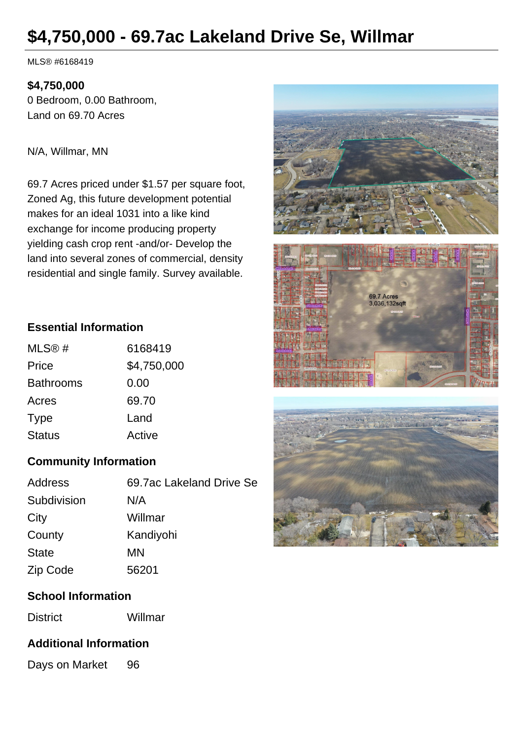# **\$4,750,000 - 69.7ac Lakeland Drive Se, Willmar**

MLS® #6168419

#### **\$4,750,000**

0 Bedroom, 0.00 Bathroom, Land on 69.70 Acres

N/A, Willmar, MN

69.7 Acres priced under \$1.57 per square foot, Zoned Ag, this future development potential makes for an ideal 1031 into a like kind exchange for income producing property yielding cash crop rent -and/or- Develop the land into several zones of commercial, density residential and single family. Survey available.

## **Essential Information**

| MLS@#            | 6168419     |
|------------------|-------------|
| Price            | \$4,750,000 |
| <b>Bathrooms</b> | 0.00        |
| Acres            | 69.70       |
| <b>Type</b>      | Land        |
| <b>Status</b>    | Active      |

### **Community Information**

| <b>Address</b> | 69.7ac Lakeland Drive Se |
|----------------|--------------------------|
| Subdivision    | N/A                      |
| City           | Willmar                  |
| County         | Kandiyohi                |
| <b>State</b>   | MN                       |
| Zip Code       | 56201                    |

### **School Information**

District Willmar

### **Additional Information**

Days on Market 96